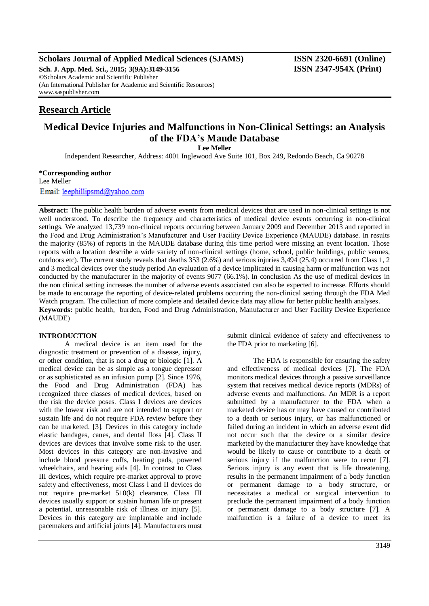# **Scholars Journal of Applied Medical Sciences (SJAMS) ISSN 2320-6691 (Online)**

**Sch. J. App. Med. Sci., 2015; 3(9A):3149-3156 ISSN 2347-954X (Print)** ©Scholars Academic and Scientific Publisher (An International Publisher for Academic and Scientific Resources) [www.saspublisher.com](http://www.saspublisher.com/)

# **Research Article**

# **Medical Device Injuries and Malfunctions in Non-Clinical Settings: an Analysis of the FDA's Maude Database**

**Lee Meller**

Independent Researcher, Address: 4001 Inglewood Ave Suite 101, Box 249, Redondo Beach, Ca 90278

**\*Corresponding author** Lee Meller

Email: leephillipsmd@yahoo.com

**Abstract:** The public health burden of adverse events from medical devices that are used in non-clinical settings is not well understood. To describe the frequency and characteristics of medical device events occurring in non-clinical settings. We analyzed 13,739 non-clinical reports occurring between January 2009 and December 2013 and reported in the Food and Drug Administration's Manufacturer and User Facility Device Experience (MAUDE) database. In results the majority (85%) of reports in the MAUDE database during this time period were missing an event location. Those reports with a location describe a wide variety of non-clinical settings (home, school, public buildings, public venues, outdoors etc). The current study reveals that deaths 353 (2.6%) and serious injuries 3,494 (25.4) occurred from Class 1, 2 and 3 medical devices over the study period An evaluation of a device implicated in causing harm or malfunction was not conducted by the manufacturer in the majority of events 9077 (66.1%). In conclusion As the use of medical devices in the non clinical setting increases the number of adverse events associated can also be expected to increase. Efforts should be made to encourage the reporting of device-related problems occurring the non-clinical setting through the FDA Med Watch program. The collection of more complete and detailed device data may allow for better public health analyses. **Keywords:** public health, burden, Food and Drug Administration, Manufacturer and User Facility Device Experience (MAUDE)

## **INTRODUCTION**

A medical device is an item used for the diagnostic treatment or prevention of a disease, injury, or other condition, that is not a drug or biologic [1]. A medical device can be as simple as a tongue depressor or as sophisticated as an infusion pump [2]. Since 1976, the Food and Drug Administration (FDA) has recognized three classes of medical devices, based on the risk the device poses. Class I devices are devices with the lowest risk and are not intended to support or sustain life and do not require FDA review before they can be marketed. [3]. Devices in this category include elastic bandages, canes, and dental floss [4]. Class II devices are devices that involve some risk to the user. Most devices in this category are non-invasive and include blood pressure cuffs, heating pads, powered wheelchairs, and hearing aids [4]. In contrast to Class III devices, which require pre-market approval to prove safety and effectiveness, most Class l and II devices do not require pre-market 510(k) clearance. Class III devices usually support or sustain human life or present a potential, unreasonable risk of illness or injury [5]. Devices in this category are implantable and include pacemakers and artificial joints [4]. Manufacturers must

submit clinical evidence of safety and effectiveness to the FDA prior to marketing [6].

The FDA is responsible for ensuring the safety and effectiveness of medical devices [7]. The FDA monitors medical devices through a passive surveillance system that receives medical device reports (MDRs) of adverse events and malfunctions. An MDR is a report submitted by a manufacturer to the FDA when a marketed device has or may have caused or contributed to a death or serious injury, or has malfunctioned or failed during an incident in which an adverse event did not occur such that the device or a similar device marketed by the manufacturer they have knowledge that would be likely to cause or contribute to a death or serious injury if the malfunction were to recur [7]. Serious injury is any event that is life threatening, results in the permanent impairment of a body function or permanent damage to a body structure, or necessitates a medical or surgical intervention to preclude the permanent impairment of a body function or permanent damage to a body structure [7]. A malfunction is a failure of a device to meet its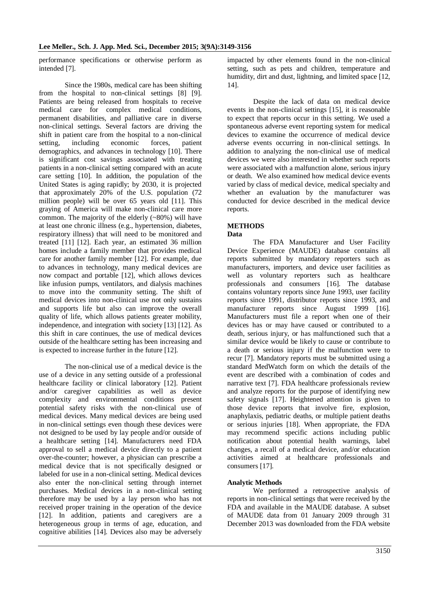performance specifications or otherwise perform as intended [7].

Since the 1980s, medical care has been shifting from the hospital to non-clinical settings [8] [9]. Patients are being released from hospitals to receive medical care for complex medical conditions, permanent disabilities, and palliative care in diverse non-clinical settings. Several factors are driving the shift in patient care from the hospital to a non-clinical setting, including economic forces, patient demographics, and advances in technology [10]. There is significant cost savings associated with treating patients in a non-clinical setting compared with an acute care setting [10]. In addition, the population of the United States is aging rapidly; by 2030, it is projected that approximately 20% of the U.S. population (72 million people) will be over 65 years old [11]. This graying of America will make non-clinical care more common. The majority of the elderly (~80%) will have at least one chronic illness (e.g., hypertension, diabetes, respiratory illness) that will need to be monitored and treated [11] [12]. Each year, an estimated 36 million homes include a family member that provides medical care for another family member [12]. For example, due to advances in technology, many medical devices are now compact and portable [12], which allows devices like infusion pumps, ventilators, and dialysis machines to move into the community setting. The shift of medical devices into non-clinical use not only sustains and supports life but also can improve the overall quality of life, which allows patients greater mobility, independence, and integration with society [13] [12]. As this shift in care continues, the use of medical devices outside of the healthcare setting has been increasing and is expected to increase further in the future [12].

The non-clinical use of a medical device is the use of a device in any setting outside of a professional healthcare facility or clinical laboratory [12]. Patient and/or caregiver capabilities as well as device complexity and environmental conditions present potential safety risks with the non-clinical use of medical devices. Many medical devices are being used in non-clinical settings even though these devices were not designed to be used by lay people and/or outside of a healthcare setting [14]. Manufacturers need FDA approval to sell a medical device directly to a patient over-the-counter; however, a physician can prescribe a medical device that is not specifically designed or labeled for use in a non-clinical setting. Medical devices also enter the non-clinical setting through internet purchases. Medical devices in a non-clinical setting therefore may be used by a lay person who has not received proper training in the operation of the device [12]. In addition, patients and caregivers are a heterogeneous group in terms of age, education, and cognitive abilities [14]. Devices also may be adversely impacted by other elements found in the non-clinical setting, such as pets and children, temperature and humidity, dirt and dust, lightning, and limited space [12, 14].

Despite the lack of data on medical device events in the non-clinical settings [15], it is reasonable to expect that reports occur in this setting. We used a spontaneous adverse event reporting system for medical devices to examine the occurrence of medical device adverse events occurring in non-clinical settings. In addition to analyzing the non-clinical use of medical devices we were also interested in whether such reports were associated with a malfunction alone, serious injury or death. We also examined how medical device events varied by class of medical device, medical specialty and whether an evaluation by the manufacturer was conducted for device described in the medical device reports.

# **METHODS**

#### **Data**

The FDA Manufacturer and User Facility Device Experience (MAUDE) database contains all reports submitted by mandatory reporters such as manufacturers, importers, and device user facilities as well as voluntary reporters such as healthcare professionals and consumers [16]. The database contains voluntary reports since June 1993, user facility reports since 1991, distributor reports since 1993, and manufacturer reports since August 1999 [16]. Manufacturers must file a report when one of their devices has or may have caused or contributed to a death, serious injury, or has malfunctioned such that a similar device would be likely to cause or contribute to a death or serious injury if the malfunction were to recur [7]. Mandatory reports must be submitted using a standard MedWatch form on which the details of the event are described with a combination of codes and narrative text [7]. FDA healthcare professionals review and analyze reports for the purpose of identifying new safety signals [17]. Heightened attention is given to those device reports that involve fire, explosion, anaphylaxis, pediatric deaths, or multiple patient deaths or serious injuries [18]. When appropriate, the FDA may recommend specific actions including public notification about potential health warnings, label changes, a recall of a medical device, and/or education activities aimed at healthcare professionals and consumers [17].

## **Analytic Methods**

We performed a retrospective analysis of reports in non-clinical settings that were received by the FDA and available in the MAUDE database. A subset of MAUDE data from 01 January 2009 through 31 December 2013 was downloaded from the FDA website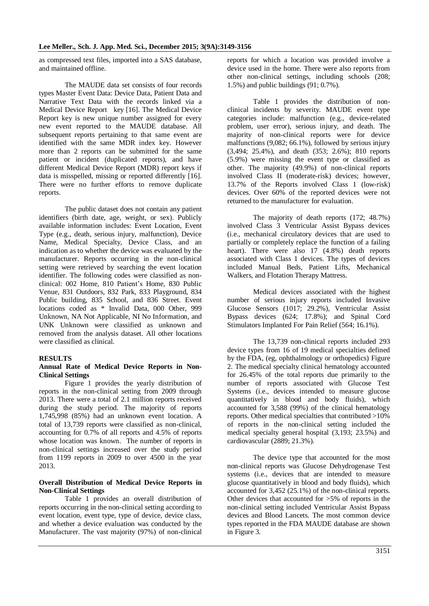as compressed text files, imported into a SAS database, and maintained offline.

The MAUDE data set consists of four records types Master Event Data: Device Data, Patient Data and Narrative Text Data with the records linked via a Medical Device Report key [16]. The Medical Device Report key is new unique number assigned for every new event reported to the MAUDE database. All subsequent reports pertaining to that same event are identified with the same MDR index key. However more than 2 reports can be submitted for the same patient or incident (duplicated reports), and have different Medical Device Report (MDR) report keys if data is misspelled, missing or reported differently [16]. There were no further efforts to remove duplicate reports.

The public dataset does not contain any patient identifiers (birth date, age, weight, or sex). Publicly available information includes: Event Location, Event Type (e.g., death, serious injury, malfunction), Device Name, Medical Specialty, Device Class, and an indication as to whether the device was evaluated by the manufacturer. Reports occurring in the non-clinical setting were retrieved by searching the event location identifier. The following codes were classified as nonclinical: 002 Home, 810 Patient's Home, 830 Public Venue, 831 Outdoors, 832 Park, 833 Playground, 834 Public building, 835 School, and 836 Street. Event locations coded as \* Invalid Data, 000 Other, 999 Unknown, NA Not Applicable, NI No Information, and UNK Unknown were classified as unknown and removed from the analysis dataset. All other locations were classified as clinical.

#### **RESULTS**

### **Annual Rate of Medical Device Reports in Non-Clinical Settings**

Figure 1 provides the yearly distribution of reports in the non-clinical setting from 2009 through 2013. There were a total of 2.1 million reports received during the study period. The majority of reports 1,745,998 (85%) had an unknown event location. A total of 13,739 reports were classified as non-clinical, accounting for 0.7% of all reports and 4.5% of reports whose location was known. The number of reports in non-clinical settings increased over the study period from 1199 reports in 2009 to over 4500 in the year 2013.

#### **Overall Distribution of Medical Device Reports in Non-Clinical Settings**

Table 1 provides an overall distribution of reports occurring in the non-clinical setting according to event location, event type, type of device, device class, and whether a device evaluation was conducted by the Manufacturer. The vast majority (97%) of non-clinical reports for which a location was provided involve a device used in the home. There were also reports from other non-clinical settings, including schools (208; 1.5%) and public buildings (91; 0.7%).

Table 1 provides the distribution of nonclinical incidents by severity. MAUDE event type categories include: malfunction (e.g., device-related problem, user error), serious injury, and death. The majority of non-clinical reports were for device malfunctions (9,082; 66.1%), followed by serious injury (3,494; 25.4%), and death (353; 2.6%); 810 reports (5.9%) were missing the event type or classified as other. The majority (49.9%) of non-clinical reports involved Class II (moderate-risk) devices; however, 13.7% of the Reports involved Class 1 (low-risk) devices. Over 60% of the reported devices were not returned to the manufacturer for evaluation.

The majority of death reports (172; 48.7%) involved Class 3 Ventricular Assist Bypass devices (i.e., [mechanical](http://en.wikipedia.org/wiki/Machine) circulatory devices that are used to partially or completely replace the function of a failing [heart\)](http://en.wikipedia.org/wiki/Heart). There were also 17 (4.8%) death reports associated with Class 1 devices. The types of devices included Manual Beds, Patient Lifts, Mechanical Walkers, and Flotation Therapy Mattress.

Medical devices associated with the highest number of serious injury reports included Invasive Glucose Sensors (1017; 29.2%), Ventricular Assist Bypass devices (624; 17.8%); and Spinal Cord Stimulators Implanted For Pain Relief (564; 16.1%).

The 13,739 non-clinical reports included 293 device types from 16 of 19 medical specialties defined by the FDA, (eg, ophthalmology or orthopedics) Figure 2. The medical specialty clinical hematology accounted for 26.45% of the total reports due primarily to the number of reports associated with Glucose Test Systems (i.e., devices intended to measure glucose quantitatively in blood and body fluids), which accounted for 3,588 (99%) of the clinical hematology reports. Other medical specialties that contributed >10% of reports in the non-clinical setting included the medical specialty general hospital (3,193; 23.5%) and cardiovascular (2889; 21.3%).

The device type that accounted for the most non-clinical reports was Glucose Dehydrogenase Test systems (i.e., devices that are intended to measure glucose quantitatively in blood and body fluids), which accounted for 3,452 (25.1%) of the non-clinical reports. Other devices that accounted for >5% of reports in the non-clinical setting included Ventricular Assist Bypass devices and Blood Lancets. The most common device types reported in the FDA MAUDE database are shown in Figure 3.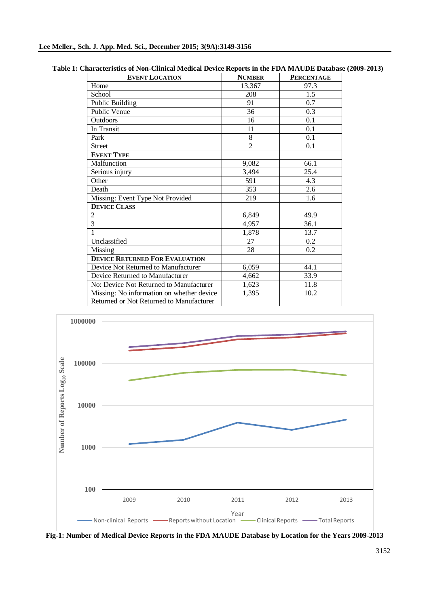| <b>EVENT LOCATION</b>                     | <b>NUMBER</b>  | <b>PERCENTAGE</b> |
|-------------------------------------------|----------------|-------------------|
| Home                                      | 13,367         | 97.3              |
| School                                    | 208            | 1.5               |
| <b>Public Building</b>                    | 91             | 0.7               |
| Public Venue                              | 36             | 0.3               |
| Outdoors                                  | 16             | 0.1               |
| In Transit                                | 11             | 0.1               |
| Park                                      | 8              | 0.1               |
| <b>Street</b>                             | $\overline{2}$ | 0.1               |
| <b>EVENT TYPE</b>                         |                |                   |
| Malfunction                               | 9,082          | 66.1              |
| Serious injury                            | 3,494          | 25.4              |
| Other                                     | 591            | 4.3               |
| Death                                     | 353            | 2.6               |
| Missing: Event Type Not Provided          | 219            | 1.6               |
| <b>DEVICE CLASS</b>                       |                |                   |
| 2                                         | 6,849          | 49.9              |
| $\overline{3}$                            | 4,957          | 36.1              |
| 1                                         | 1,878          | 13.7              |
| Unclassified                              | 27             | 0.2               |
| Missing                                   | 28             | 0.2               |
| <b>DEVICE RETURNED FOR EVALUATION</b>     |                |                   |
| Device Not Returned to Manufacturer       | 6,059          | 44.1              |
| Device Returned to Manufacturer           | 4,662          | 33.9              |
| No: Device Not Returned to Manufacturer   | 1,623          | 11.8              |
| Missing: No information on whether device | 1,395          | 10.2              |
| Returned or Not Returned to Manufacturer  |                |                   |

| Table 1: Characteristics of Non-Clinical Medical Device Reports in the FDA MAUDE Database (2009-2013) |                       |              |                   |  |
|-------------------------------------------------------------------------------------------------------|-----------------------|--------------|-------------------|--|
|                                                                                                       | <b>EVENT LOCATION</b> | <b>NIDID</b> | <b>DEDCEMTACE</b> |  |



**Fig-1: Number of Medical Device Reports in the FDA MAUDE Database by Location for the Years 2009-2013**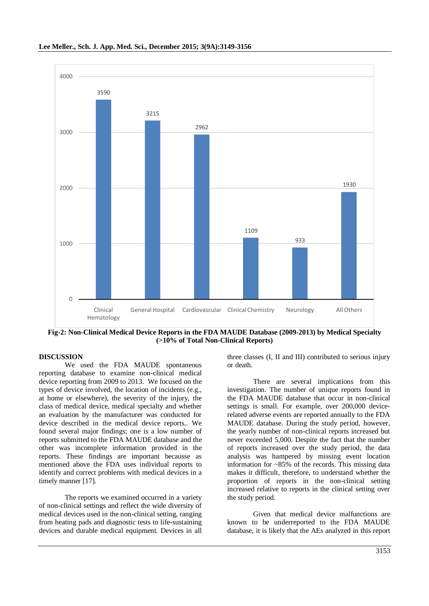

**Fig-2: Non-Clinical Medical Device Reports in the FDA MAUDE Database (2009-2013) by Medical Specialty (>10% of Total Non-Clinical Reports)**

#### **DISCUSSION**

We used the FDA MAUDE spontaneous reporting database to examine non-clinical medical device reporting from 2009 to 2013. We focused on the types of device involved, the location of incidents (e.g., at home or elsewhere), the severity of the injury, the class of medical device, medical specialty and whether an evaluation by the manufacturer was conducted for device described in the medical device reports.. We found several major findings; one is a low number of reports submitted to the FDA MAUDE database and the other was incomplete information provided in the reports. These findings are important becausse as mentioned above the FDA uses individual reports to identify and correct problems with medical devices in a timely manner [17].

The reports we examined occurred in a variety of non-clinical settings and reflect the wide diversity of medical devices used in the non-clinical setting, ranging from heating pads and diagnostic tests to life-sustaining devices and durable medical equipment. Devices in all

three classes (I, II and III) contributed to serious injury or death.

There are several implications from this investigation. The number of unique reports found in the FDA MAUDE database that occur in non-clinical settings is small. For example, over 200,000 devicerelated adverse events are reported annually to the FDA MAUDE database. During the study period, however, the yearly number of non-clinical reports increased but never exceeded 5,000. Despite the fact that the number of reports increased over the study period, the data analysis was hampered by missing event location information for  $\approx 85\%$  of the records. This missing data makes it difficult, therefore, to understand whether the proportion of reports in the non-clinical setting increased relative to reports in the clinical setting over the study period.

Given that medical device malfunctions are known to be underreported to the FDA MAUDE database, it is likely that the AEs analyzed in this report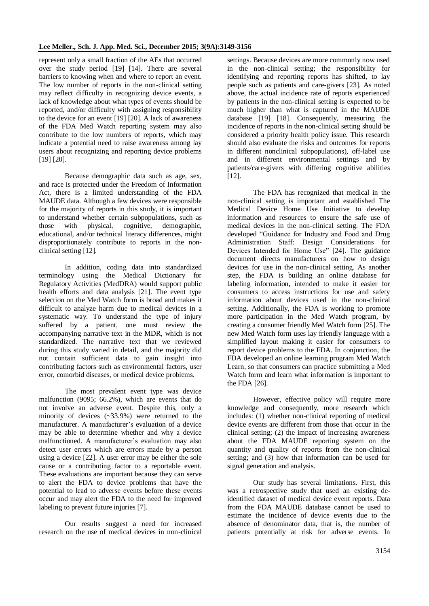represent only a small fraction of the AEs that occurred over the study period [19] [14]. There are several barriers to knowing when and where to report an event. The low number of reports in the non-clinical setting may reflect difficulty in recognizing device events, a lack of knowledge about what types of events should be reported, and/or difficulty with assigning responsibility to the device for an event [19] [20]. A lack of awareness of the FDA Med Watch reporting system may also contribute to the low numbers of reports, which may indicate a potential need to raise awareness among lay users about recognizing and reporting device problems [19] [20].

Because demographic data such as age, sex, and race is protected under the Freedom of Information Act, there is a limited understanding of the FDA MAUDE data. Although a few devices were responsible for the majority of reports in this study, it is important to understand whether certain subpopulations, such as those with physical, cognitive, demographic, educational, and/or technical literacy differences, might disproportionately contribute to reports in the nonclinical setting [12].

In addition, coding data into standardized terminology using the Medical Dictionary for Regulatory Activities (MedDRA) would support public health efforts and data analysis [21]. The event type selection on the Med Watch form is broad and makes it difficult to analyze harm due to medical devices in a systematic way. To understand the type of injury suffered by a patient, one must review the accompanying narrative text in the MDR, which is not standardized. The narrative text that we reviewed during this study varied in detail, and the majority did not contain sufficient data to gain insight into contributing factors such as environmental factors, user error, comorbid diseases, or medical device problems.

The most prevalent event type was device malfunction (9095; 66.2%), which are events that do not involve an adverse event. Despite this, only a minority of devices (~33.9%) were returned to the manufacturer. A manufacturer's evaluation of a device may be able to determine whether and why a device malfunctioned. A manufacturer's evaluation may also detect user errors which are errors made by a person using a device [22]. A user error may be either the sole cause or a contributing factor to a reportable event. These evaluations are important because they can serve to alert the FDA to device problems that have the potential to lead to adverse events before these events occur and may alert the FDA to the need for improved labeling to prevent future injuries [7].

Our results suggest a need for increased research on the use of medical devices in non-clinical

settings. Because devices are more commonly now used in the non-clinical setting; the responsibility for identifying and reporting reports has shifted, to lay people such as patients and care-givers [23]. As noted above, the actual incidence rate of reports experienced by patients in the non-clinical setting is expected to be much higher than what is captured in the MAUDE database [19] [18]. Consequently, measuring the incidence of reports in the non-clinical setting should be considered a priority health policy issue. This research should also evaluate the risks and outcomes for reports in different nonclinical subpopulations), off-label use and in different environmental settings and by patients/care-givers with differing cognitive abilities [12].

The FDA has recognized that medical in the non-clinical setting is important and established The [Medical Device Home Use Initiative](http://www.fda.gov/downloads/MedicalDevices/ProductsandMedicalProcedures/HomeHealthandConsumer/HomeUseDevices/UCM209056.pdf) to develop information and resources to ensure the safe use of medical devices in the non-clinical setting. The FDA developed ["Guidance for Industry and Food and Drug](http://www.fda.gov/downloads/MedicalDevices/DeviceRegulationandGuidance/GuidanceDocuments/UCM331681.pdf)  [Administration Staff: Design Considerations for](http://www.fda.gov/downloads/MedicalDevices/DeviceRegulationandGuidance/GuidanceDocuments/UCM331681.pdf)  [Devices Intended for Home Use"](http://www.fda.gov/downloads/MedicalDevices/DeviceRegulationandGuidance/GuidanceDocuments/UCM331681.pdf) [24]. The guidance document directs manufacturers on how to design devices for use in the non-clinical setting. As another step, the FDA is building an [online database for](http://www.fda.gov/MedicalDevices/NewsEvents/WorkshopsConferences/ucm334501.htm)  [labeling information,](http://www.fda.gov/MedicalDevices/NewsEvents/WorkshopsConferences/ucm334501.htm) intended to make it easier for consumers to access instructions for use and safety information about devices used in the non-clinical setting. Additionally, the FDA is working to promote more participation in the Med Watch program, by creating a consumer friendly Med Watch form [25]. The new Med Watch form uses lay friendly language with a simplified layout making it easier for consumers to report device problems to the FDA. In conjunction, the FDA developed an online learning program [Med Watch](http://www.accessdata.fda.gov/scripts/MedWatchLearn/)  [Learn,](http://www.accessdata.fda.gov/scripts/MedWatchLearn/) so that consumers can practice submitting a Med Watch form and learn what information is important to the FDA [26].

However, effective policy will require more knowledge and consequently, more research which includes: (1) whether non-clinical reporting of medical device events are different from those that occur in the clinical setting; (2) the impact of increasing awareness about the FDA MAUDE reporting system on the quantity and quality of reports from the non-clinical setting; and (3) how that information can be used for signal generation and analysis.

Our study has several limitations. First, this was a retrospective study that used an existing deidentified dataset of medical device event reports. Data from the FDA MAUDE database cannot be used to estimate the incidence of device events due to the absence of denominator data, that is, the number of patients potentially at risk for adverse events. In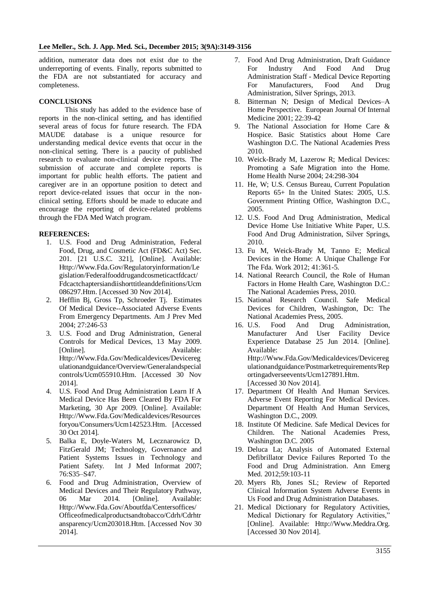addition, numerator data does not exist due to the underreporting of events. Finally, reports submitted to the FDA are not substantiated for accuracy and completeness.

# **CONCLUSIONS**

This study has added to the evidence base of reports in the non-clinical setting, and has identified several areas of focus for future research. The FDA MAUDE database is a unique resource for understanding medical device events that occur in the non-clinical setting. There is a paucity of published research to evaluate non-clinical device reports. The submission of accurate and complete reports is important for public health efforts. The patient and caregiver are in an opportune position to detect and report device-related issues that occur in the nonclinical setting. Efforts should be made to educate and encourage the reporting of device-related problems through the FDA Med Watch program.

# **REFERENCES:**

- 1. U.S. Food and Drug Administration, Federal Food, Drug, and Cosmetic Act (FD&C Act) Sec. 201. [21 U.S.C. 321], [Online]. Available: Http://Www.Fda.Gov/Regulatoryinformation/Le gislation/Federalfooddrugandcosmeticactfdcact/ Fdcactchaptersiandiishorttitleanddefinitions/Ucm 086297.Htm. [Accessed 30 Nov 2014].
- 2. Hefflin Bj, Gross Tp, Schroeder Tj. Estimates Of Medical Device--Associated Adverse Events From Emergency Departments. Am J Prev Med 2004; 27:246-53
- 3. U.S. Food and Drug Administration, General Controls for Medical Devices, 13 May 2009. [Online]. Available: Http://Www.Fda.Gov/Medicaldevices/Devicereg ulationandguidance/Overview/Generalandspecial controls/Ucm055910.Htm. [Accessed 30 Nov 2014].
- 4. U.S. Food And Drug Administration Learn If A Medical Device Has Been Cleared By FDA For Marketing, 30 Apr 2009. [Online]. Available: Http://Www.Fda.Gov/Medicaldevices/Resources foryou/Consumers/Ucm142523.Htm. [Accessed 30 Oct 2014].
- 5. Balka E, Doyle-Waters M, Lecznarowicz D, FitzGerald JM; Technology, Governance and Patient Systems Issues in Technology and Patient Safety. Int J Med Informat 2007; 76:S35–S47.
- 6. Food and Drug Administration, Overview of Medical Devices and Their Regulatory Pathway, 06 Mar 2014. [Online]. Available: Http://Www.Fda.Gov/Aboutfda/Centersoffices/ Officeofmedicalproductsandtobacco/Cdrh/Cdrhtr ansparency/Ucm203018.Htm. [Accessed Nov 30 2014].
- 7. Food And Drug Administration, Draft Guidance For Industry And Food And Drug Administration Staff - Medical Device Reporting For Manufacturers, Food And Drug Administration, Silver Springs, 2013.
- 8. Bitterman N; Design of Medical Devices–A Home Perspective. European Journal Of Internal Medicine 2001; 22:39-42
- 9. The National Association for Home Care & Hospice. Basic Statistics about Home Care Washington D.C. The National Academies Press 2010.
- 10. Weick-Brady M, Lazerow R; Medical Devices: Promoting a Safe Migration into the Home. Home Health Nurse 2004; 24:298-304
- 11. He, W; U.S. Census Bureau, Current Population Reports 65+ In the United States: 2005, U.S. Government Printing Office, Washington D.C., 2005.
- 12. U.S. Food And Drug Administration, Medical Device Home Use Initiative White Paper, U.S. Food And Drug Administration, Silver Springs, 2010.
- 13. Fu M, Weick-Brady M, Tanno E; Medical Devices in the Home: A Unique Challenge For The Fda. Work 2012; 41:361-5.
- 14. National Reearch Council, the Role of Human Factors in Home Health Care, Washington D.C.: The National Academies Press, 2010.
- 15. National Research Council. Safe Medical Devices for Children, Washington, Dc: The National Academies Press, 2005.
- 16. U.S. Food And Drug Administration, Manufacturer And User Facility Device Experience Database 25 Jun 2014. [Online]. Available: Http://Www.Fda.Gov/Medicaldevices/Devicereg

ulationandguidance/Postmarketrequirements/Rep ortingadverseevents/Ucm127891.Htm. [Accessed 30 Nov 2014].

- 17. Department Of Health And Human Services. Adverse Event Reporting For Medical Devices. Department Of Health And Human Services, Washington D.C., 2009.
- 18. Institute Of Medicine. Safe Medical Devices for Children. The National Academies Press, Washington D.C. 2005
- 19. Deluca La; Analysis of Automated External Defibrillator Device Failures Reported To the Food and Drug Administration. Ann Emerg Med. 2012;59:103-11
- 20. Myers Rb, Jones SL; Review of Reported Clinical Information System Adverse Events in Us Food and Drug Administration Databases.
- 21. Medical Dictionary for Regulatory Activities, Medical Dictionary for Regulatory Activities," [Online]. Available: Http://Www.Meddra.Org. [Accessed 30 Nov 2014].